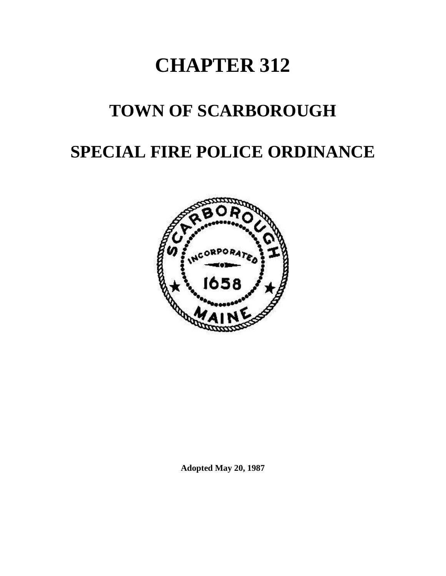# **CHAPTER 312**

## **TOWN OF SCARBOROUGH**

### **SPECIAL FIRE POLICE ORDINANCE**



**Adopted May 20, 1987**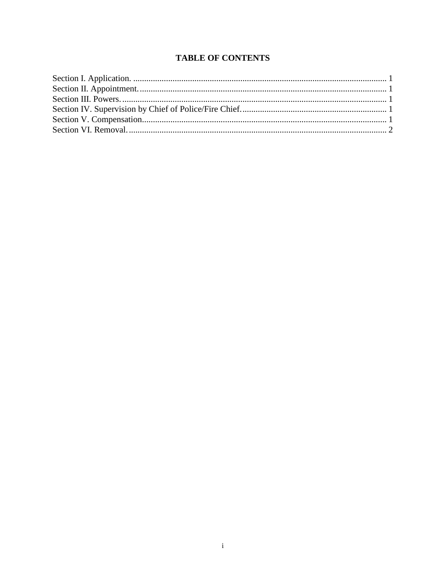#### **TABLE OF CONTENTS**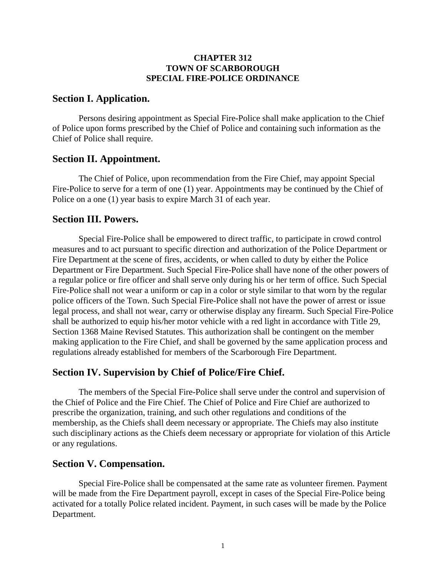#### **CHAPTER 312 TOWN OF SCARBOROUGH SPECIAL FIRE-POLICE ORDINANCE**

#### <span id="page-2-0"></span>**Section I. Application.**

Persons desiring appointment as Special Fire-Police shall make application to the Chief of Police upon forms prescribed by the Chief of Police and containing such information as the Chief of Police shall require.

#### <span id="page-2-1"></span>**Section II. Appointment.**

The Chief of Police, upon recommendation from the Fire Chief, may appoint Special Fire-Police to serve for a term of one (1) year. Appointments may be continued by the Chief of Police on a one (1) year basis to expire March 31 of each year.

#### <span id="page-2-2"></span>**Section III. Powers.**

Special Fire-Police shall be empowered to direct traffic, to participate in crowd control measures and to act pursuant to specific direction and authorization of the Police Department or Fire Department at the scene of fires, accidents, or when called to duty by either the Police Department or Fire Department. Such Special Fire-Police shall have none of the other powers of a regular police or fire officer and shall serve only during his or her term of office. Such Special Fire-Police shall not wear a uniform or cap in a color or style similar to that worn by the regular police officers of the Town. Such Special Fire-Police shall not have the power of arrest or issue legal process, and shall not wear, carry or otherwise display any firearm. Such Special Fire-Police shall be authorized to equip his/her motor vehicle with a red light in accordance with Title 29, Section 1368 Maine Revised Statutes. This authorization shall be contingent on the member making application to the Fire Chief, and shall be governed by the same application process and regulations already established for members of the Scarborough Fire Department.

#### <span id="page-2-3"></span>**Section IV. Supervision by Chief of Police/Fire Chief.**

The members of the Special Fire-Police shall serve under the control and supervision of the Chief of Police and the Fire Chief. The Chief of Police and Fire Chief are authorized to prescribe the organization, training, and such other regulations and conditions of the membership, as the Chiefs shall deem necessary or appropriate. The Chiefs may also institute such disciplinary actions as the Chiefs deem necessary or appropriate for violation of this Article or any regulations.

#### <span id="page-2-4"></span>**Section V. Compensation.**

Special Fire-Police shall be compensated at the same rate as volunteer firemen. Payment will be made from the Fire Department payroll, except in cases of the Special Fire-Police being activated for a totally Police related incident. Payment, in such cases will be made by the Police Department.